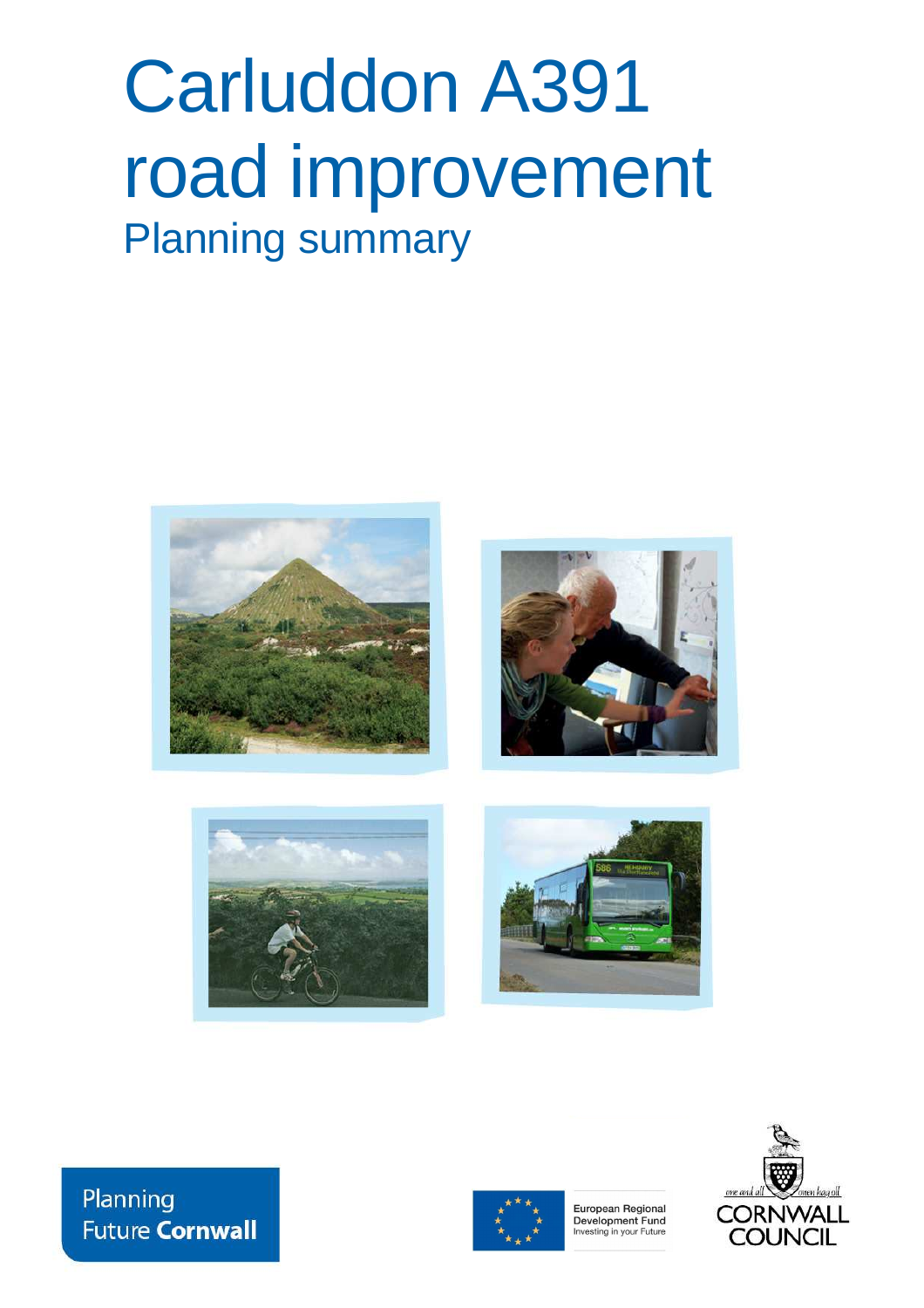# Carluddon A391 road improvement Planning summary









Planning **Future Cornwall** 



European Regional Development Fund Investing in your Future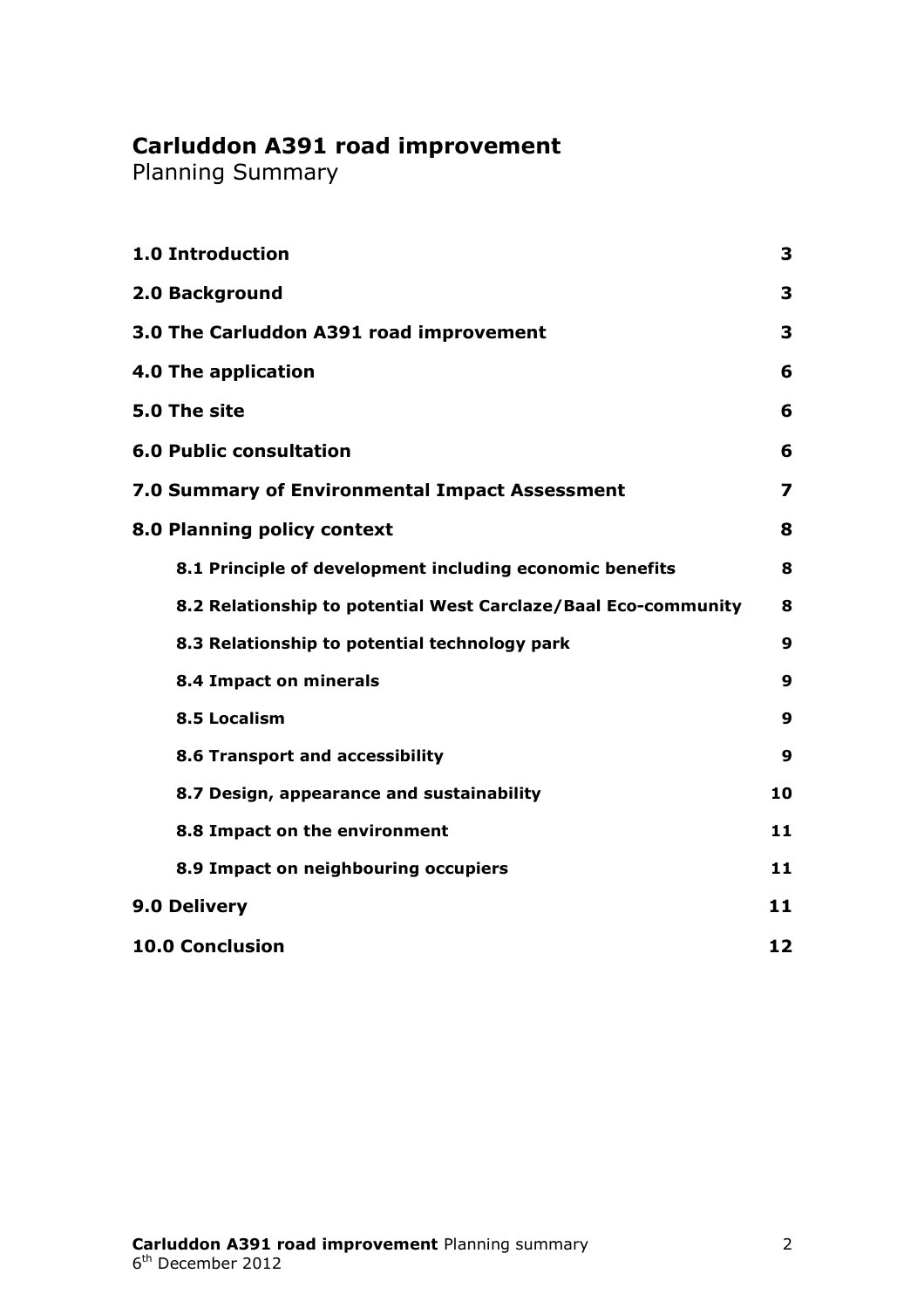# **Carluddon A391 road improvement**

Planning Summary

| <b>1.0 Introduction</b>                                        | 3                       |
|----------------------------------------------------------------|-------------------------|
| 2.0 Background                                                 | 3                       |
| 3.0 The Carluddon A391 road improvement                        | 3                       |
| 4.0 The application                                            | 6                       |
| 5.0 The site                                                   | 6                       |
| <b>6.0 Public consultation</b>                                 | 6                       |
| 7.0 Summary of Environmental Impact Assessment                 | $\overline{\mathbf{z}}$ |
| 8.0 Planning policy context                                    | 8                       |
| 8.1 Principle of development including economic benefits       | 8                       |
| 8.2 Relationship to potential West Carclaze/Baal Eco-community | 8                       |
| 8.3 Relationship to potential technology park                  | 9                       |
| 8.4 Impact on minerals                                         | 9                       |
| 8.5 Localism                                                   | 9                       |
| 8.6 Transport and accessibility                                | 9                       |
| 8.7 Design, appearance and sustainability                      | 10                      |
| 8.8 Impact on the environment                                  | 11                      |
| 8.9 Impact on neighbouring occupiers                           | 11                      |
| 9.0 Delivery                                                   | 11                      |
| <b>10.0 Conclusion</b>                                         | 12                      |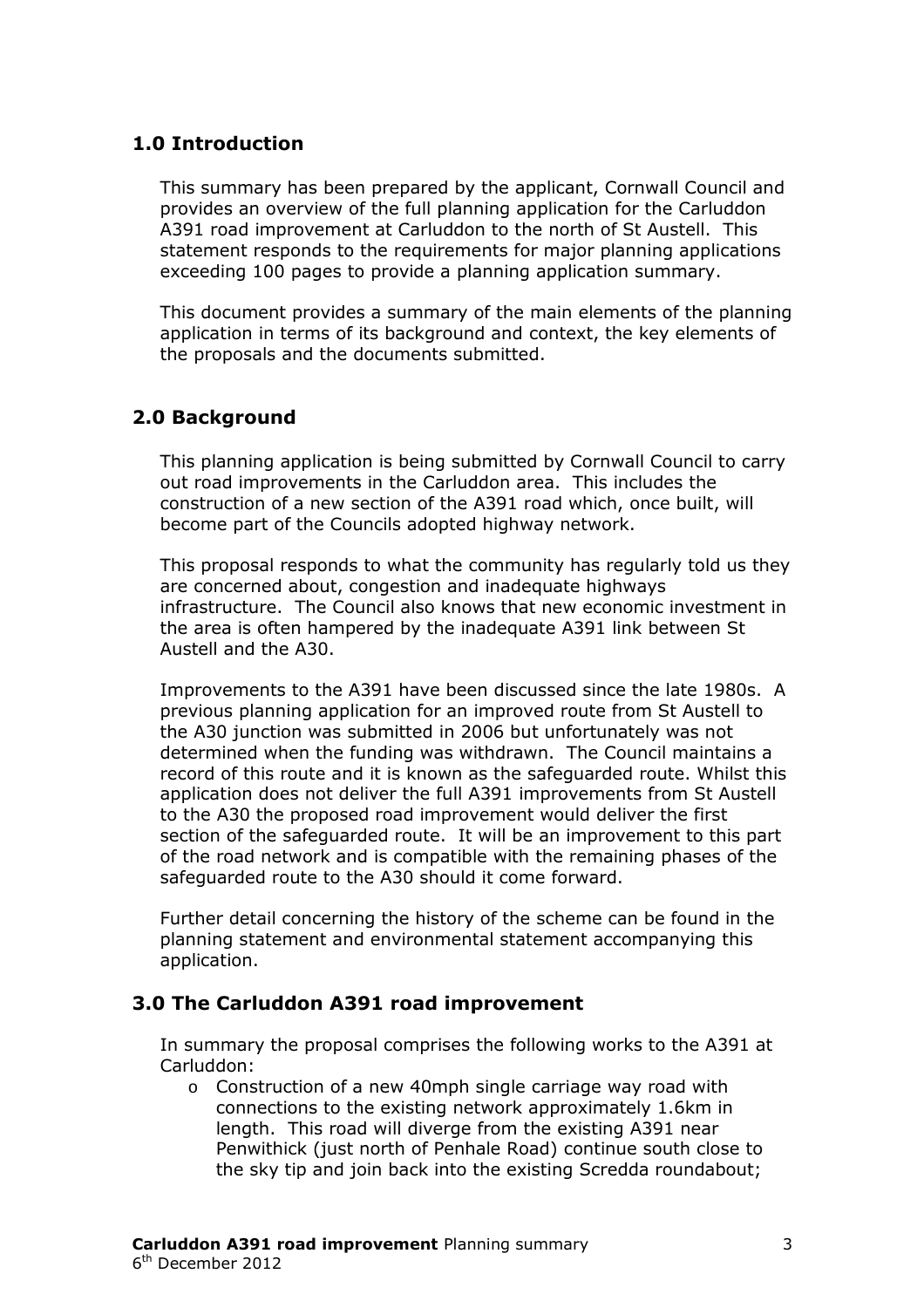# **1.0 Introduction**

This summary has been prepared by the applicant, Cornwall Council and provides an overview of the full planning application for the Carluddon A391 road improvement at Carluddon to the north of St Austell. This statement responds to the requirements for major planning applications exceeding 100 pages to provide a planning application summary.

This document provides a summary of the main elements of the planning application in terms of its background and context, the key elements of the proposals and the documents submitted.

# **2.0 Background**

This planning application is being submitted by Cornwall Council to carry out road improvements in the Carluddon area. This includes the construction of a new section of the A391 road which, once built, will become part of the Councils adopted highway network.

This proposal responds to what the community has regularly told us they are concerned about, congestion and inadequate highways infrastructure. The Council also knows that new economic investment in the area is often hampered by the inadequate A391 link between St Austell and the A30.

Improvements to the A391 have been discussed since the late 1980s. A previous planning application for an improved route from St Austell to the A30 junction was submitted in 2006 but unfortunately was not determined when the funding was withdrawn. The Council maintains a record of this route and it is known as the safeguarded route. Whilst this application does not deliver the full A391 improvements from St Austell to the A30 the proposed road improvement would deliver the first section of the safeguarded route. It will be an improvement to this part of the road network and is compatible with the remaining phases of the safeguarded route to the A30 should it come forward.

Further detail concerning the history of the scheme can be found in the planning statement and environmental statement accompanying this application.

# **3.0 The Carluddon A391 road improvement**

In summary the proposal comprises the following works to the A391 at Carluddon:

o Construction of a new 40mph single carriage way road with connections to the existing network approximately 1.6km in length. This road will diverge from the existing A391 near Penwithick (just north of Penhale Road) continue south close to the sky tip and join back into the existing Scredda roundabout;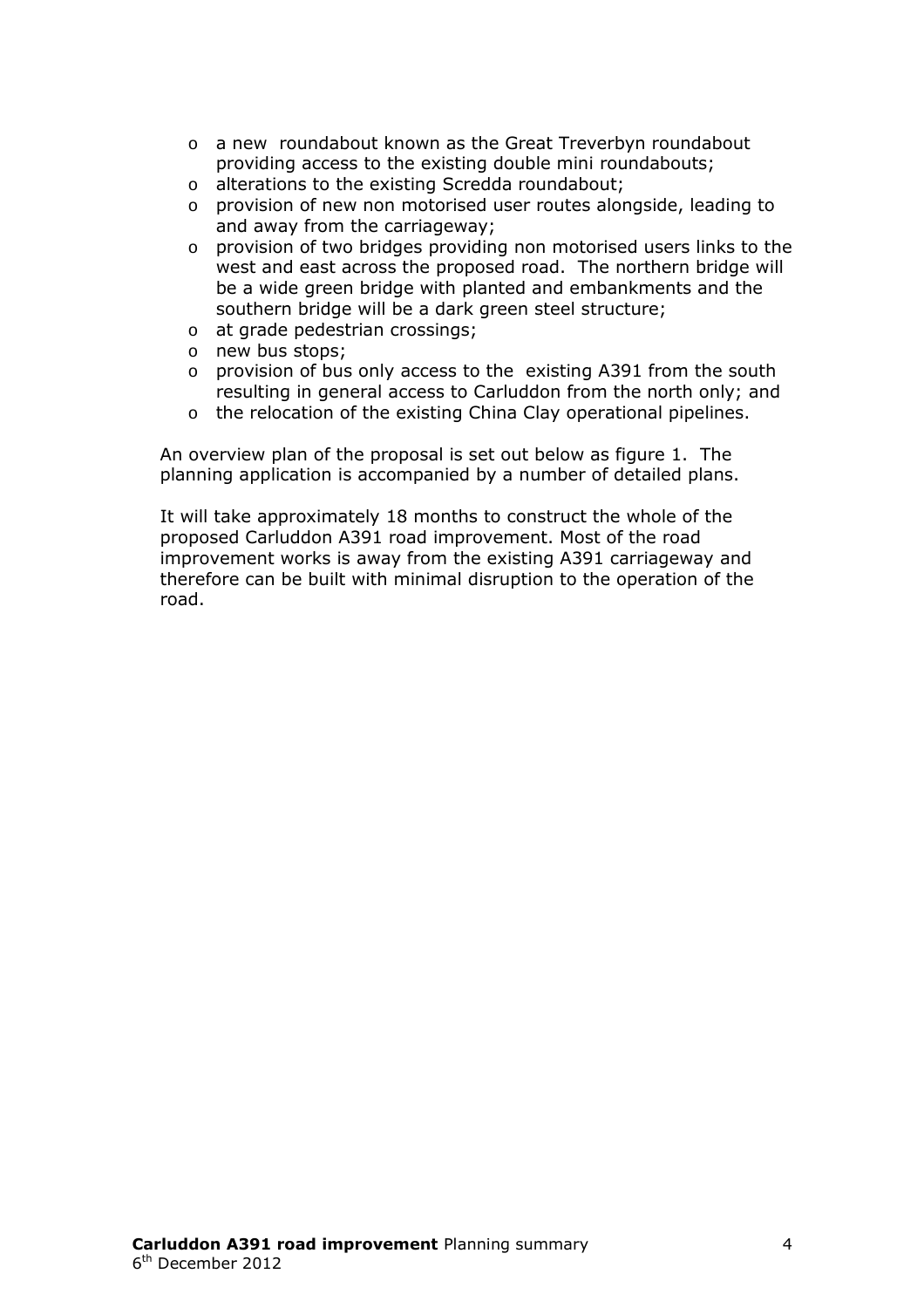- o a new roundabout known as the Great Treverbyn roundabout providing access to the existing double mini roundabouts;
- o alterations to the existing Scredda roundabout;
- o provision of new non motorised user routes alongside, leading to and away from the carriageway;
- o provision of two bridges providing non motorised users links to the west and east across the proposed road. The northern bridge will be a wide green bridge with planted and embankments and the southern bridge will be a dark green steel structure;
- o at grade pedestrian crossings;
- o new bus stops;
- $\circ$  provision of bus only access to the existing A391 from the south resulting in general access to Carluddon from the north only; and
- o the relocation of the existing China Clay operational pipelines.

An overview plan of the proposal is set out below as figure 1. The planning application is accompanied by a number of detailed plans.

It will take approximately 18 months to construct the whole of the proposed Carluddon A391 road improvement. Most of the road improvement works is away from the existing A391 carriageway and therefore can be built with minimal disruption to the operation of the road.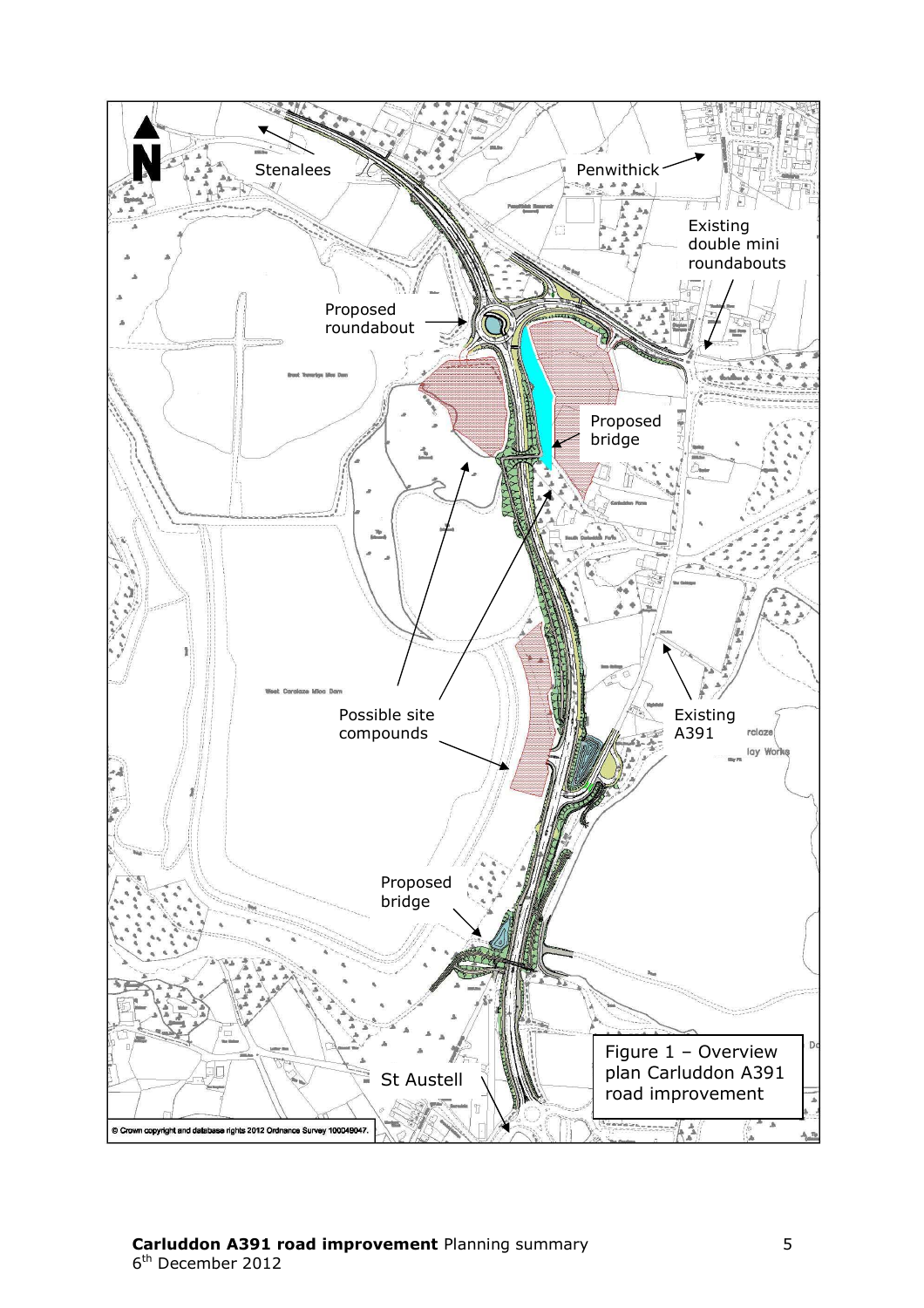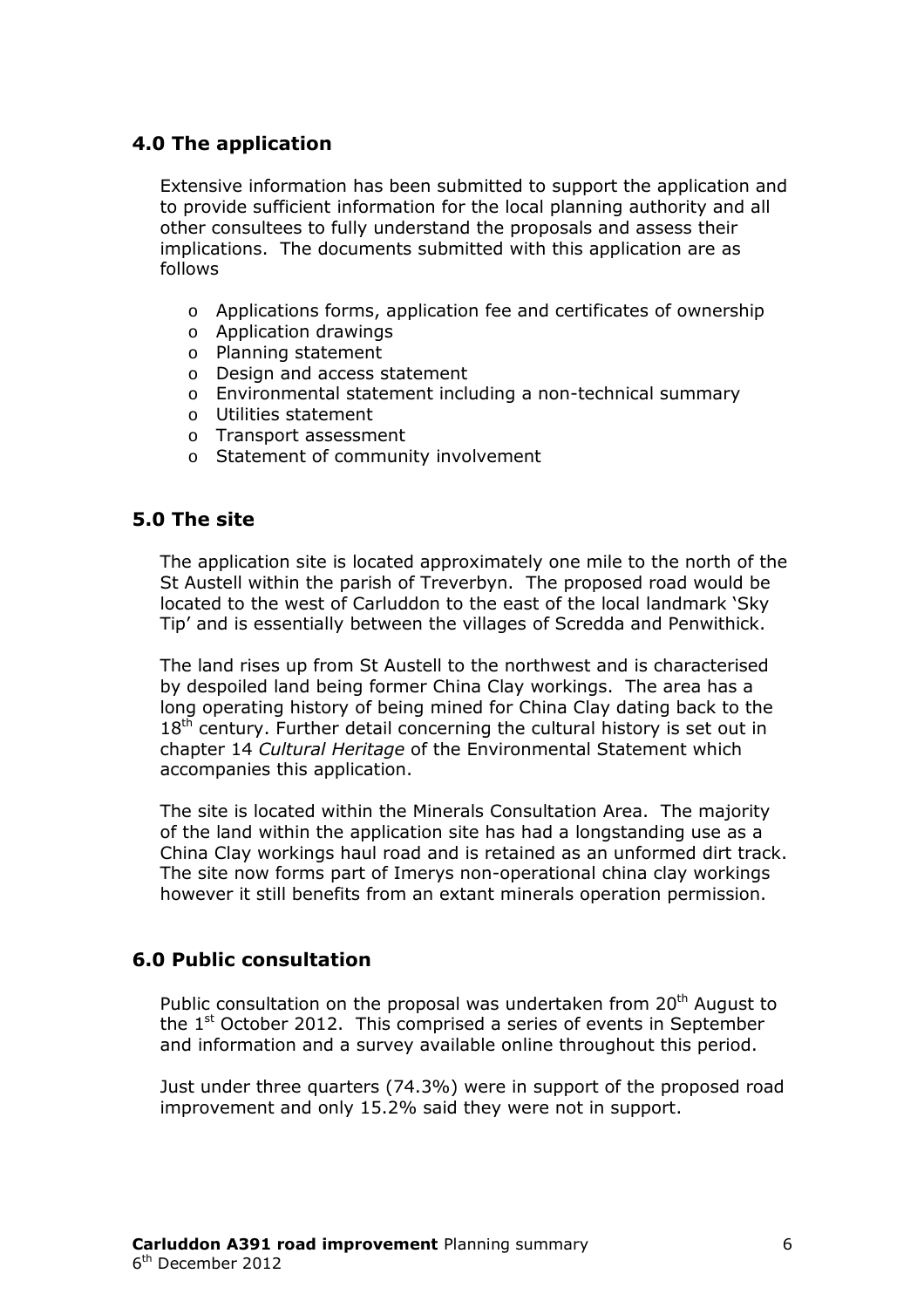# **4.0 The application**

Extensive information has been submitted to support the application and to provide sufficient information for the local planning authority and all other consultees to fully understand the proposals and assess their implications. The documents submitted with this application are as follows

- o Applications forms, application fee and certificates of ownership
- o Application drawings
- o Planning statement
- o Design and access statement
- o Environmental statement including a non-technical summary
- o Utilities statement
- o Transport assessment
- o Statement of community involvement

# **5.0 The site**

The application site is located approximately one mile to the north of the St Austell within the parish of Treverbyn. The proposed road would be located to the west of Carluddon to the east of the local landmark 'Sky Tip' and is essentially between the villages of Scredda and Penwithick.

The land rises up from St Austell to the northwest and is characterised by despoiled land being former China Clay workings. The area has a long operating history of being mined for China Clay dating back to the  $18<sup>th</sup>$  century. Further detail concerning the cultural history is set out in chapter 14 *Cultural Heritage* of the Environmental Statement which accompanies this application.

The site is located within the Minerals Consultation Area. The majority of the land within the application site has had a longstanding use as a China Clay workings haul road and is retained as an unformed dirt track. The site now forms part of Imerys non-operational china clay workings however it still benefits from an extant minerals operation permission.

# **6.0 Public consultation**

Public consultation on the proposal was undertaken from 20<sup>th</sup> August to the  $1<sup>st</sup>$  October 2012. This comprised a series of events in September and information and a survey available online throughout this period.

Just under three quarters (74.3%) were in support of the proposed road improvement and only 15.2% said they were not in support.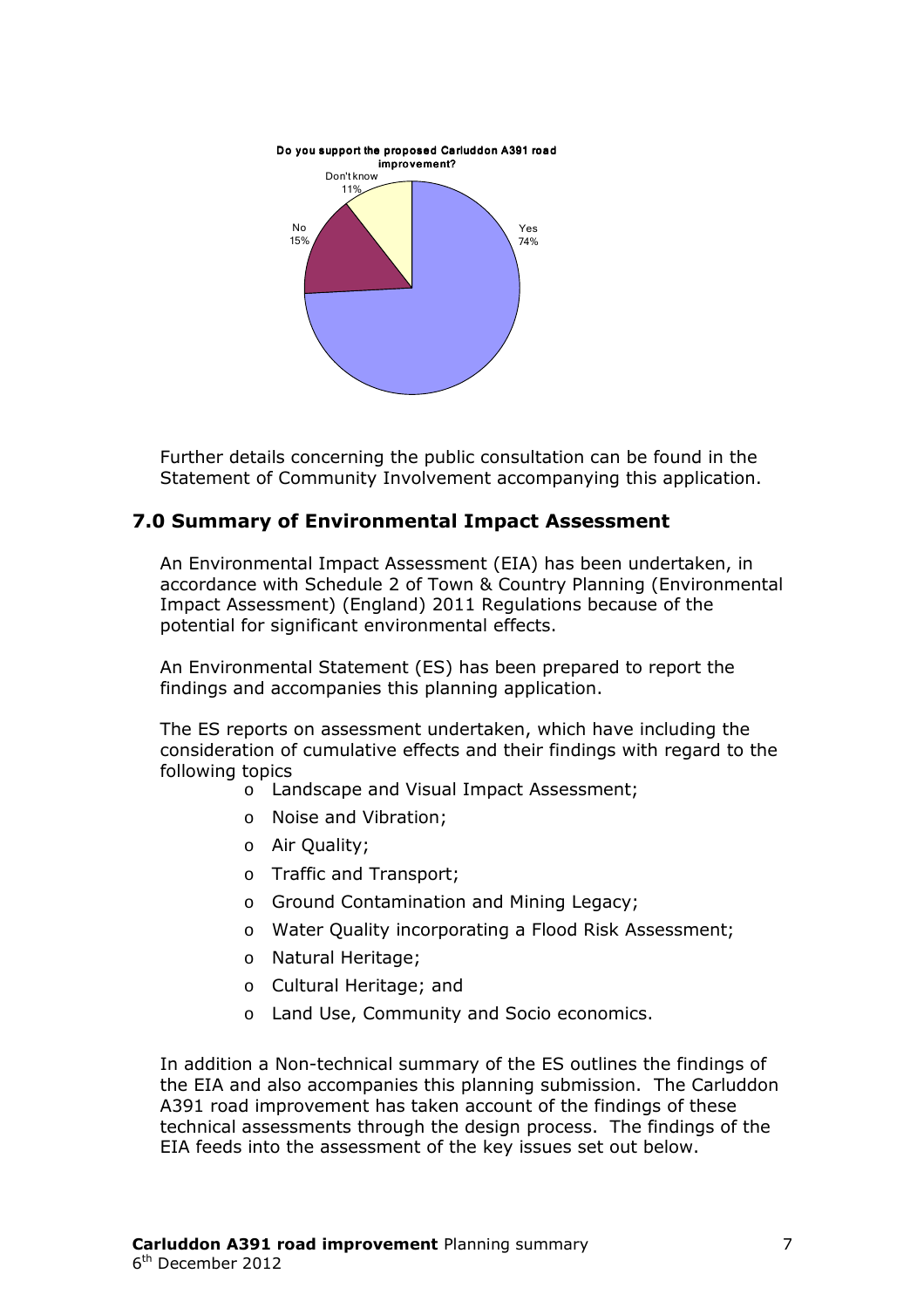

Further details concerning the public consultation can be found in the Statement of Community Involvement accompanying this application.

### **7.0 Summary of Environmental Impact Assessment**

An Environmental Impact Assessment (EIA) has been undertaken, in accordance with Schedule 2 of Town & Country Planning (Environmental Impact Assessment) (England) 2011 Regulations because of the potential for significant environmental effects.

An Environmental Statement (ES) has been prepared to report the findings and accompanies this planning application.

The ES reports on assessment undertaken, which have including the consideration of cumulative effects and their findings with regard to the following topics

- o Landscape and Visual Impact Assessment;
- o Noise and Vibration;
- o Air Quality;
- o Traffic and Transport;
- o Ground Contamination and Mining Legacy;
- o Water Quality incorporating a Flood Risk Assessment;
- o Natural Heritage;
- o Cultural Heritage; and
- o Land Use, Community and Socio economics.

In addition a Non-technical summary of the ES outlines the findings of the EIA and also accompanies this planning submission. The Carluddon A391 road improvement has taken account of the findings of these technical assessments through the design process. The findings of the EIA feeds into the assessment of the key issues set out below.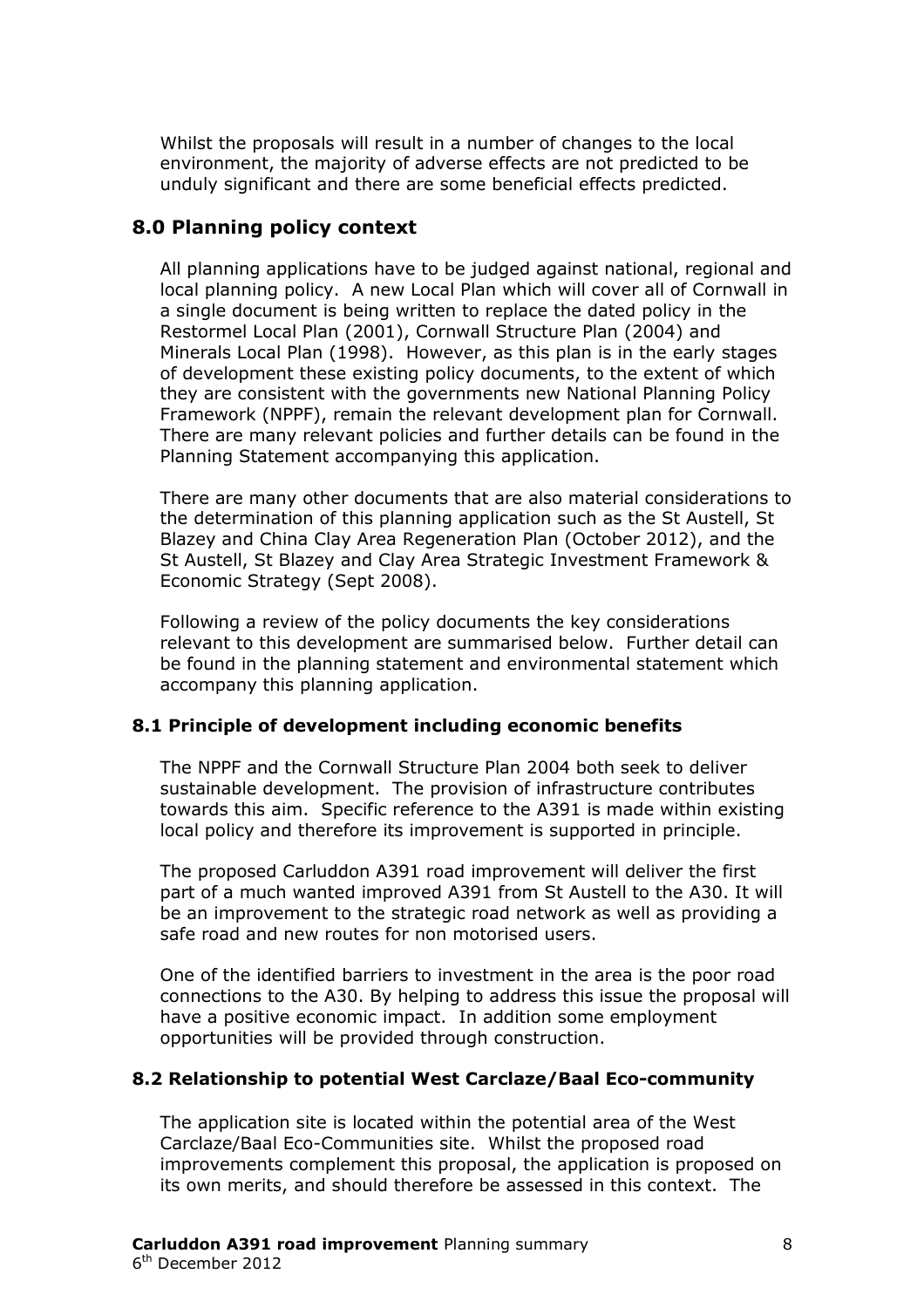Whilst the proposals will result in a number of changes to the local environment, the majority of adverse effects are not predicted to be unduly significant and there are some beneficial effects predicted.

# **8.0 Planning policy context**

All planning applications have to be judged against national, regional and local planning policy. A new Local Plan which will cover all of Cornwall in a single document is being written to replace the dated policy in the Restormel Local Plan (2001), Cornwall Structure Plan (2004) and Minerals Local Plan (1998). However, as this plan is in the early stages of development these existing policy documents, to the extent of which they are consistent with the governments new National Planning Policy Framework (NPPF), remain the relevant development plan for Cornwall. There are many relevant policies and further details can be found in the Planning Statement accompanying this application.

There are many other documents that are also material considerations to the determination of this planning application such as the St Austell, St Blazey and China Clay Area Regeneration Plan (October 2012), and the St Austell, St Blazey and Clay Area Strategic Investment Framework & Economic Strategy (Sept 2008).

Following a review of the policy documents the key considerations relevant to this development are summarised below. Further detail can be found in the planning statement and environmental statement which accompany this planning application.

#### **8.1 Principle of development including economic benefits**

The NPPF and the Cornwall Structure Plan 2004 both seek to deliver sustainable development. The provision of infrastructure contributes towards this aim. Specific reference to the A391 is made within existing local policy and therefore its improvement is supported in principle.

The proposed Carluddon A391 road improvement will deliver the first part of a much wanted improved A391 from St Austell to the A30. It will be an improvement to the strategic road network as well as providing a safe road and new routes for non motorised users.

One of the identified barriers to investment in the area is the poor road connections to the A30. By helping to address this issue the proposal will have a positive economic impact. In addition some employment opportunities will be provided through construction.

#### **8.2 Relationship to potential West Carclaze/Baal Eco-community**

The application site is located within the potential area of the West Carclaze/Baal Eco-Communities site. Whilst the proposed road improvements complement this proposal, the application is proposed on its own merits, and should therefore be assessed in this context. The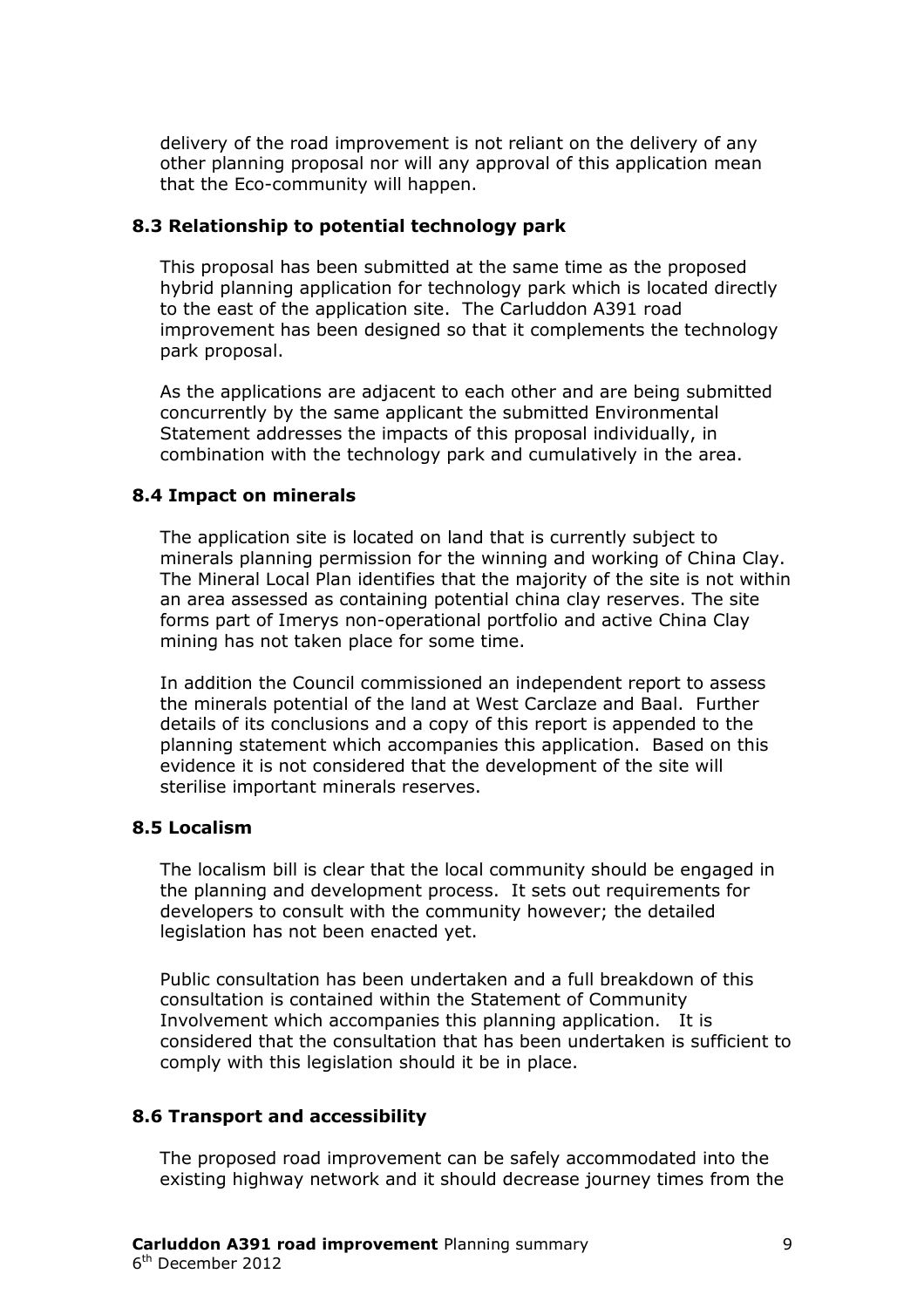delivery of the road improvement is not reliant on the delivery of any other planning proposal nor will any approval of this application mean that the Eco-community will happen.

#### **8.3 Relationship to potential technology park**

This proposal has been submitted at the same time as the proposed hybrid planning application for technology park which is located directly to the east of the application site. The Carluddon A391 road improvement has been designed so that it complements the technology park proposal.

As the applications are adjacent to each other and are being submitted concurrently by the same applicant the submitted Environmental Statement addresses the impacts of this proposal individually, in combination with the technology park and cumulatively in the area.

#### **8.4 Impact on minerals**

The application site is located on land that is currently subject to minerals planning permission for the winning and working of China Clay. The Mineral Local Plan identifies that the majority of the site is not within an area assessed as containing potential china clay reserves. The site forms part of Imerys non-operational portfolio and active China Clay mining has not taken place for some time.

In addition the Council commissioned an independent report to assess the minerals potential of the land at West Carclaze and Baal. Further details of its conclusions and a copy of this report is appended to the planning statement which accompanies this application. Based on this evidence it is not considered that the development of the site will sterilise important minerals reserves.

#### **8.5 Localism**

The localism bill is clear that the local community should be engaged in the planning and development process. It sets out requirements for developers to consult with the community however; the detailed legislation has not been enacted yet.

Public consultation has been undertaken and a full breakdown of this consultation is contained within the Statement of Community Involvement which accompanies this planning application. It is considered that the consultation that has been undertaken is sufficient to comply with this legislation should it be in place.

#### **8.6 Transport and accessibility**

The proposed road improvement can be safely accommodated into the existing highway network and it should decrease journey times from the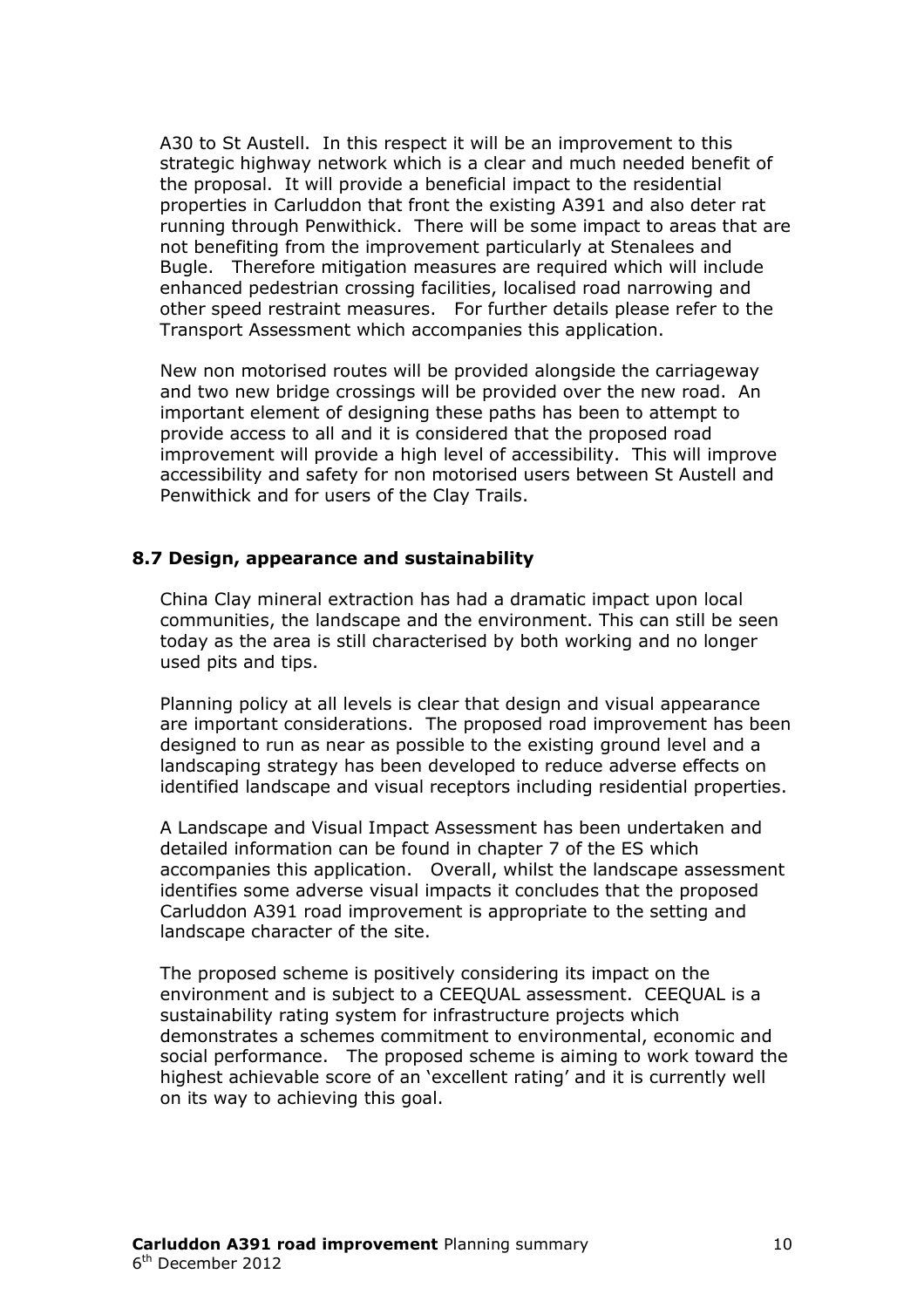A30 to St Austell. In this respect it will be an improvement to this strategic highway network which is a clear and much needed benefit of the proposal. It will provide a beneficial impact to the residential properties in Carluddon that front the existing A391 and also deter rat running through Penwithick. There will be some impact to areas that are not benefiting from the improvement particularly at Stenalees and Bugle. Therefore mitigation measures are required which will include enhanced pedestrian crossing facilities, localised road narrowing and other speed restraint measures. For further details please refer to the Transport Assessment which accompanies this application.

New non motorised routes will be provided alongside the carriageway and two new bridge crossings will be provided over the new road. An important element of designing these paths has been to attempt to provide access to all and it is considered that the proposed road improvement will provide a high level of accessibility. This will improve accessibility and safety for non motorised users between St Austell and Penwithick and for users of the Clay Trails.

#### **8.7 Design, appearance and sustainability**

China Clay mineral extraction has had a dramatic impact upon local communities, the landscape and the environment. This can still be seen today as the area is still characterised by both working and no longer used pits and tips.

Planning policy at all levels is clear that design and visual appearance are important considerations. The proposed road improvement has been designed to run as near as possible to the existing ground level and a landscaping strategy has been developed to reduce adverse effects on identified landscape and visual receptors including residential properties.

A Landscape and Visual Impact Assessment has been undertaken and detailed information can be found in chapter 7 of the ES which accompanies this application. Overall, whilst the landscape assessment identifies some adverse visual impacts it concludes that the proposed Carluddon A391 road improvement is appropriate to the setting and landscape character of the site.

The proposed scheme is positively considering its impact on the environment and is subject to a CEEQUAL assessment. CEEQUAL is a sustainability rating system for infrastructure projects which demonstrates a schemes commitment to environmental, economic and social performance. The proposed scheme is aiming to work toward the highest achievable score of an 'excellent rating' and it is currently well on its way to achieving this goal.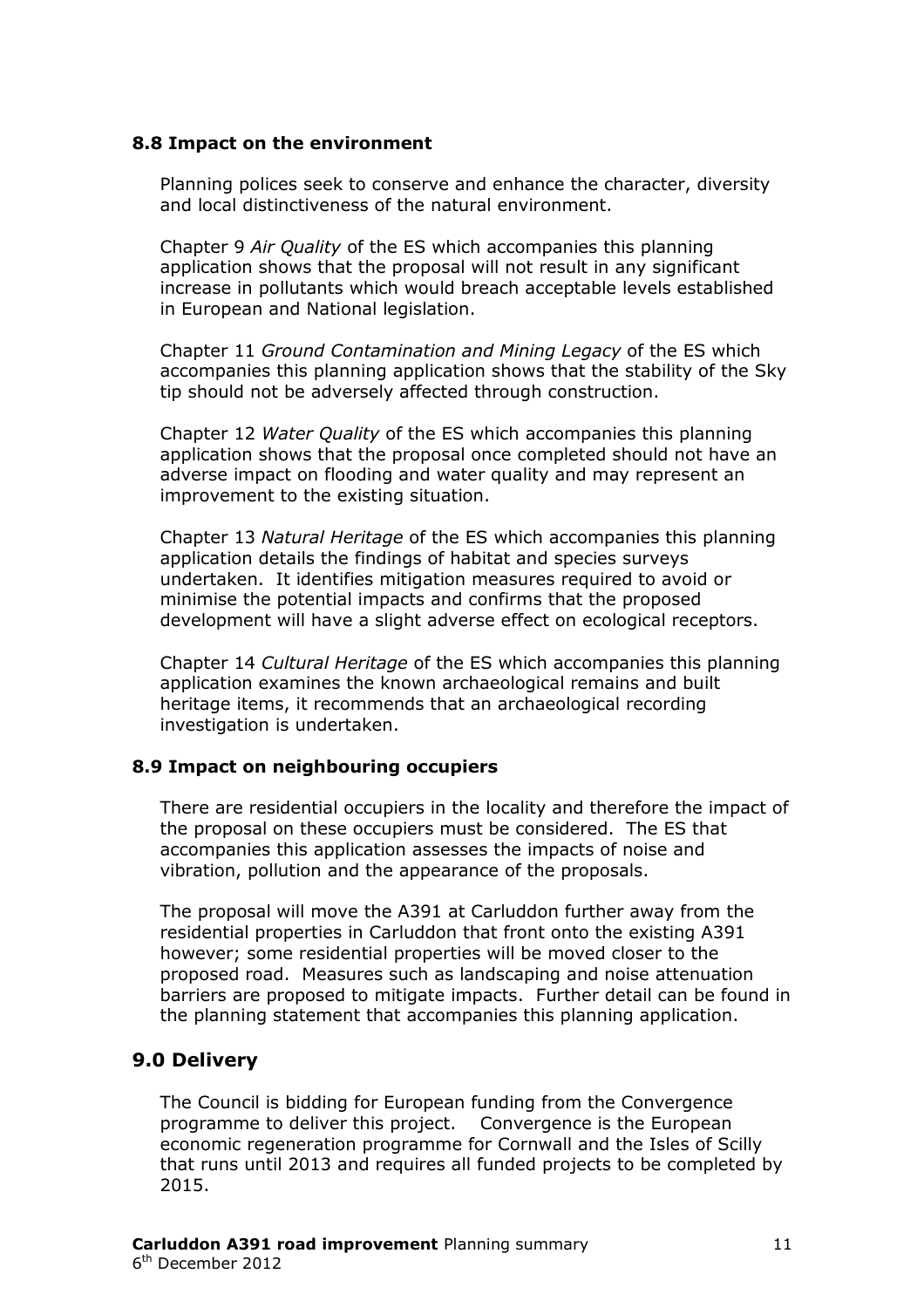#### **8.8 Impact on the environment**

Planning polices seek to conserve and enhance the character, diversity and local distinctiveness of the natural environment.

Chapter 9 *Air Quality* of the ES which accompanies this planning application shows that the proposal will not result in any significant increase in pollutants which would breach acceptable levels established in European and National legislation.

Chapter 11 *Ground Contamination and Mining Legacy* of the ES which accompanies this planning application shows that the stability of the Sky tip should not be adversely affected through construction.

Chapter 12 *Water Quality* of the ES which accompanies this planning application shows that the proposal once completed should not have an adverse impact on flooding and water quality and may represent an improvement to the existing situation.

Chapter 13 *Natural Heritage* of the ES which accompanies this planning application details the findings of habitat and species surveys undertaken. It identifies mitigation measures required to avoid or minimise the potential impacts and confirms that the proposed development will have a slight adverse effect on ecological receptors.

Chapter 14 *Cultural Heritage* of the ES which accompanies this planning application examines the known archaeological remains and built heritage items, it recommends that an archaeological recording investigation is undertaken.

#### **8.9 Impact on neighbouring occupiers**

There are residential occupiers in the locality and therefore the impact of the proposal on these occupiers must be considered. The ES that accompanies this application assesses the impacts of noise and vibration, pollution and the appearance of the proposals.

The proposal will move the A391 at Carluddon further away from the residential properties in Carluddon that front onto the existing A391 however; some residential properties will be moved closer to the proposed road. Measures such as landscaping and noise attenuation barriers are proposed to mitigate impacts. Further detail can be found in the planning statement that accompanies this planning application.

#### **9.0 Delivery**

The Council is bidding for European funding from the Convergence programme to deliver this project. Convergence is the European economic regeneration programme for Cornwall and the Isles of Scilly that runs until 2013 and requires all funded projects to be completed by 2015.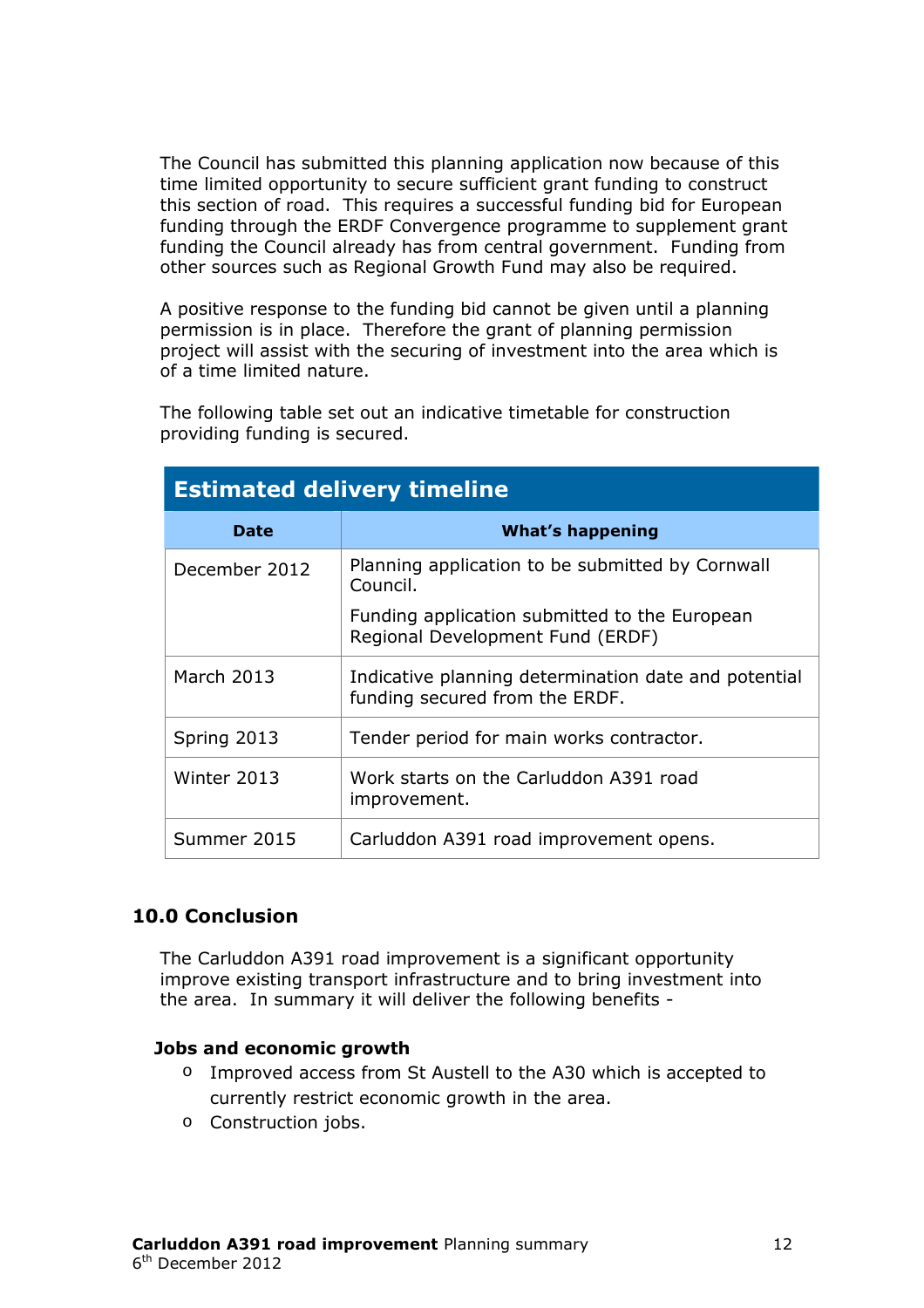The Council has submitted this planning application now because of this time limited opportunity to secure sufficient grant funding to construct this section of road. This requires a successful funding bid for European funding through the ERDF Convergence programme to supplement grant funding the Council already has from central government. Funding from other sources such as Regional Growth Fund may also be required.

A positive response to the funding bid cannot be given until a planning permission is in place. Therefore the grant of planning permission project will assist with the securing of investment into the area which is of a time limited nature.

The following table set out an indicative timetable for construction providing funding is secured.

| <b>Estimated delivery timeline</b> |                                                                                        |  |
|------------------------------------|----------------------------------------------------------------------------------------|--|
| <b>Date</b>                        | <b>What's happening</b>                                                                |  |
| December 2012                      | Planning application to be submitted by Cornwall<br>Council.                           |  |
|                                    | Funding application submitted to the European<br>Regional Development Fund (ERDF)      |  |
| March 2013                         | Indicative planning determination date and potential<br>funding secured from the ERDF. |  |
| Spring 2013                        | Tender period for main works contractor.                                               |  |
| Winter 2013                        | Work starts on the Carluddon A391 road<br>improvement.                                 |  |
| Summer 2015                        | Carluddon A391 road improvement opens.                                                 |  |

# **10.0 Conclusion**

The Carluddon A391 road improvement is a significant opportunity improve existing transport infrastructure and to bring investment into the area. In summary it will deliver the following benefits -

#### **Jobs and economic growth**

- o Improved access from St Austell to the A30 which is accepted to currently restrict economic growth in the area.
- o Construction jobs.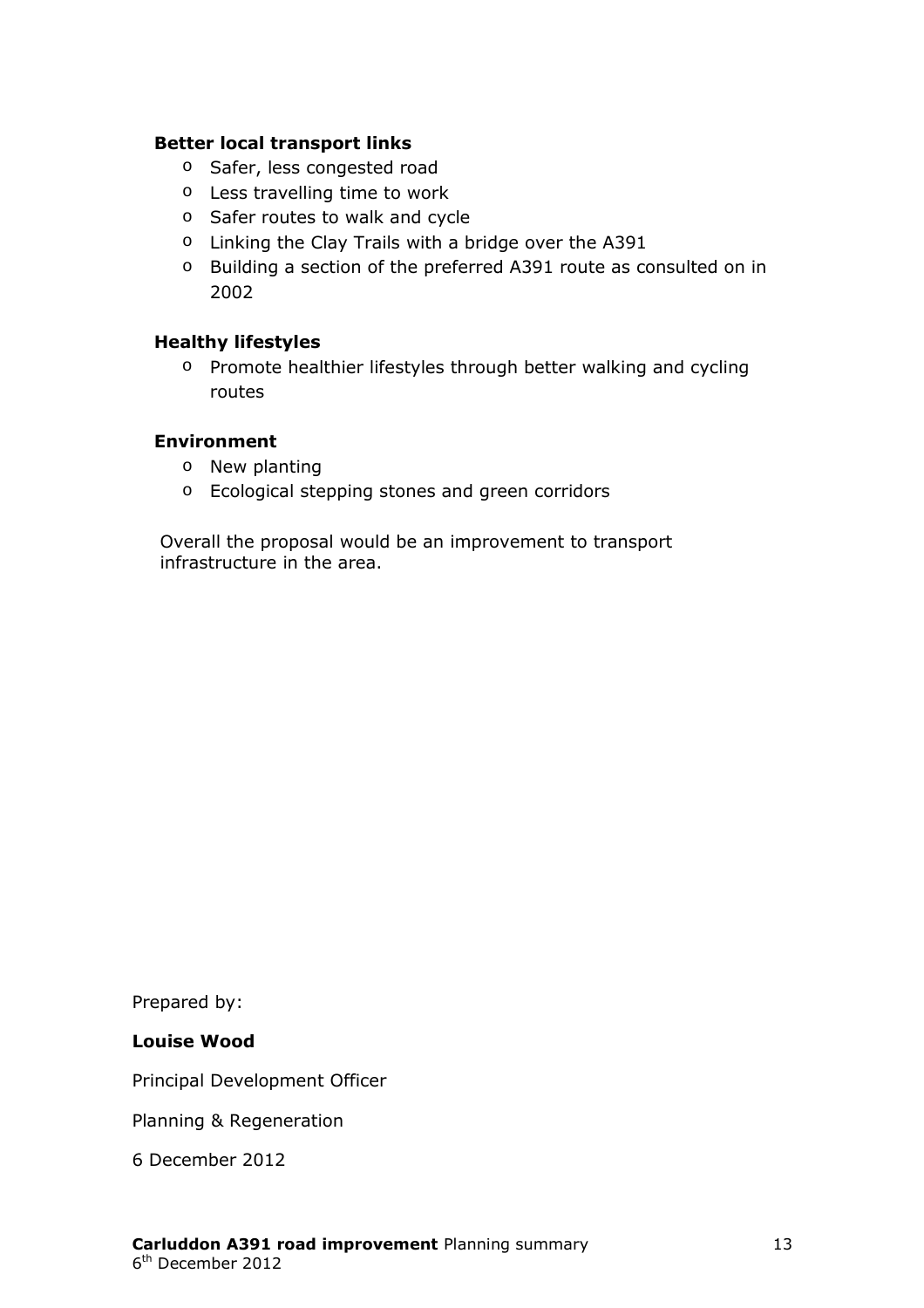#### **Better local transport links**

- o Safer, less congested road
- o Less travelling time to work
- o Safer routes to walk and cycle
- o Linking the Clay Trails with a bridge over the A391
- o Building a section of the preferred A391 route as consulted on in 2002

#### **Healthy lifestyles**

o Promote healthier lifestyles through better walking and cycling routes

#### **Environment**

- o New planting
- o Ecological stepping stones and green corridors

Overall the proposal would be an improvement to transport infrastructure in the area.

Prepared by:

#### **Louise Wood**

Principal Development Officer

Planning & Regeneration

6 December 2012